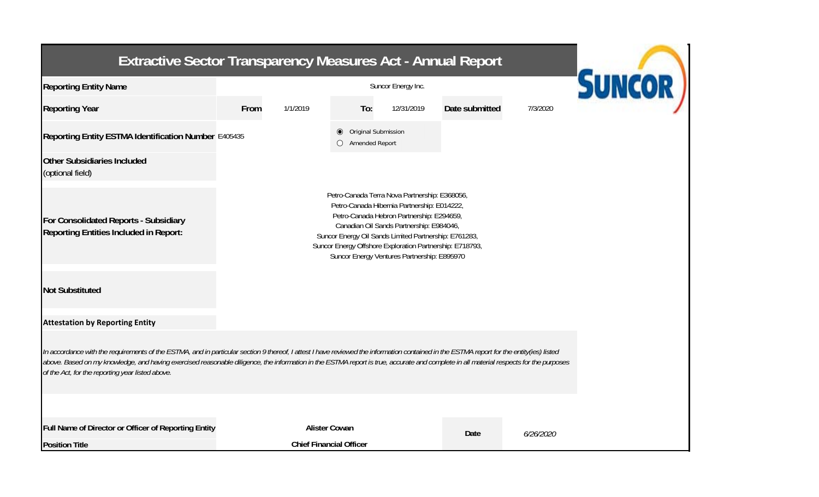| <b>Extractive Sector Transparency Measures Act - Annual Report</b>                                                                                                                                                                                                                                                                                                                                                                    |                                                                                                                                                                                                                                                                                                                                                           |                                |                                                       |            |                |           |  |  |  |  |  |
|---------------------------------------------------------------------------------------------------------------------------------------------------------------------------------------------------------------------------------------------------------------------------------------------------------------------------------------------------------------------------------------------------------------------------------------|-----------------------------------------------------------------------------------------------------------------------------------------------------------------------------------------------------------------------------------------------------------------------------------------------------------------------------------------------------------|--------------------------------|-------------------------------------------------------|------------|----------------|-----------|--|--|--|--|--|
| <b>Reporting Entity Name</b>                                                                                                                                                                                                                                                                                                                                                                                                          | <b>SUNCOR</b><br>Suncor Energy Inc.                                                                                                                                                                                                                                                                                                                       |                                |                                                       |            |                |           |  |  |  |  |  |
| <b>Reporting Year</b>                                                                                                                                                                                                                                                                                                                                                                                                                 | From<br>1/1/2019                                                                                                                                                                                                                                                                                                                                          |                                | To:                                                   | 12/31/2019 | Date submitted | 7/3/2020  |  |  |  |  |  |
| Reporting Entity ESTMA Identification Number E405435                                                                                                                                                                                                                                                                                                                                                                                  |                                                                                                                                                                                                                                                                                                                                                           |                                | Original Submission<br>◉<br>Amended Report<br>$\circ$ |            |                |           |  |  |  |  |  |
| <b>Other Subsidiaries Included</b><br>(optional field)                                                                                                                                                                                                                                                                                                                                                                                |                                                                                                                                                                                                                                                                                                                                                           |                                |                                                       |            |                |           |  |  |  |  |  |
| For Consolidated Reports - Subsidiary<br>Reporting Entities Included in Report:                                                                                                                                                                                                                                                                                                                                                       | Petro-Canada Terra Nova Partnership: E368056,<br>Petro-Canada Hibernia Partnership: E014222,<br>Petro-Canada Hebron Partnership: E294659,<br>Canadian Oil Sands Partnership: E984046,<br>Suncor Energy Oil Sands Limited Partnership: E761283,<br>Suncor Energy Offshore Exploration Partnership: E718793,<br>Suncor Energy Ventures Partnership: E895970 |                                |                                                       |            |                |           |  |  |  |  |  |
| <b>Not Substituted</b>                                                                                                                                                                                                                                                                                                                                                                                                                |                                                                                                                                                                                                                                                                                                                                                           |                                |                                                       |            |                |           |  |  |  |  |  |
| <b>Attestation by Reporting Entity</b>                                                                                                                                                                                                                                                                                                                                                                                                |                                                                                                                                                                                                                                                                                                                                                           |                                |                                                       |            |                |           |  |  |  |  |  |
| In accordance with the requirements of the ESTMA, and in particular section 9 thereof, I attest I have reviewed the information contained in the ESTMA report for the entity(ies) listed<br>above. Based on my knowledge, and having exercised reasonable diligence, the information in the ESTMA report is true, accurate and complete in all material respects for the purposes<br>of the Act, for the reporting year listed above. |                                                                                                                                                                                                                                                                                                                                                           |                                |                                                       |            |                |           |  |  |  |  |  |
| Full Name of Director or Officer of Reporting Entity                                                                                                                                                                                                                                                                                                                                                                                  |                                                                                                                                                                                                                                                                                                                                                           | <b>Alister Cowan</b>           |                                                       |            | Date           | 6/26/2020 |  |  |  |  |  |
| <b>Position Title</b>                                                                                                                                                                                                                                                                                                                                                                                                                 |                                                                                                                                                                                                                                                                                                                                                           | <b>Chief Financial Officer</b> |                                                       |            |                |           |  |  |  |  |  |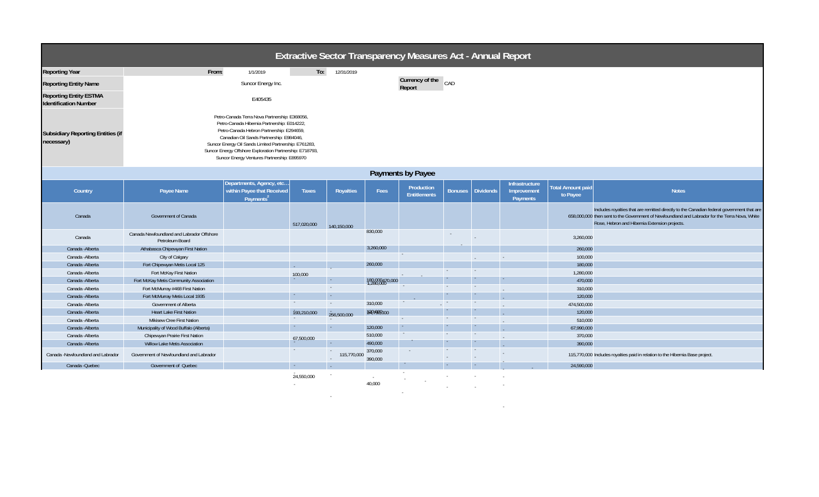| Extractive Sector Transparency Measures Act - Annual Report   |                                                                                                                                                                                                                                                                                                                                                           |                                                                                 |              |                       |                    |                                   |                |                  |                                                  |                               |                                                                                                                                                                                                                                              |
|---------------------------------------------------------------|-----------------------------------------------------------------------------------------------------------------------------------------------------------------------------------------------------------------------------------------------------------------------------------------------------------------------------------------------------------|---------------------------------------------------------------------------------|--------------|-----------------------|--------------------|-----------------------------------|----------------|------------------|--------------------------------------------------|-------------------------------|----------------------------------------------------------------------------------------------------------------------------------------------------------------------------------------------------------------------------------------------|
| <b>Reporting Year</b>                                         | From:                                                                                                                                                                                                                                                                                                                                                     | 1/1/2019                                                                        | To:          | 12/31/2019            |                    |                                   |                |                  |                                                  |                               |                                                                                                                                                                                                                                              |
| <b>Reporting Entity Name</b>                                  |                                                                                                                                                                                                                                                                                                                                                           | Suncor Energy Inc.                                                              |              |                       |                    | Currency of the<br>Report         | CAD            |                  |                                                  |                               |                                                                                                                                                                                                                                              |
| <b>Reporting Entity ESTMA</b><br><b>Identification Number</b> |                                                                                                                                                                                                                                                                                                                                                           | E405435                                                                         |              |                       |                    |                                   |                |                  |                                                  |                               |                                                                                                                                                                                                                                              |
| <b>Subsidiary Reporting Entities (if</b><br>necessary)        | Petro-Canada Terra Nova Partnership: E368056,<br>Petro-Canada Hibernia Partnership: E014222,<br>Petro-Canada Hebron Partnership: E294659,<br>Canadian Oil Sands Partnership: E984046,<br>Suncor Energy Oil Sands Limited Partnership: E761283,<br>Suncor Energy Offshore Exploration Partnership: E718793,<br>Suncor Energy Ventures Partnership: E895970 |                                                                                 |              |                       |                    |                                   |                |                  |                                                  |                               |                                                                                                                                                                                                                                              |
| Payments by Payee                                             |                                                                                                                                                                                                                                                                                                                                                           |                                                                                 |              |                       |                    |                                   |                |                  |                                                  |                               |                                                                                                                                                                                                                                              |
| Country                                                       | Payee Name                                                                                                                                                                                                                                                                                                                                                | Departments, Agency, etc<br>within Payee that Received<br>Payments <sup>2</sup> | <b>Taxes</b> | <b>Royalties</b>      | Fees               | Production<br><b>Entitlements</b> | <b>Bonuses</b> | <b>Dividends</b> | <b>Infrastructure</b><br>Improvement<br>Payments | Total Amount paid<br>to Payee | <b>Notes</b>                                                                                                                                                                                                                                 |
| Canada                                                        | <b>Government of Canada</b>                                                                                                                                                                                                                                                                                                                               |                                                                                 | 517,020,000  | 140.150.000           |                    |                                   |                |                  |                                                  |                               | Includes royalties that are remitted directly to the Canadian federal government that are<br>658,000,000 then sent to the Government of Newfoundland and Labrador for the Terra Nova, White<br>Rose, Hebron and Hibernia Extension projects. |
| Canada                                                        | Canada Newfoundland and Labrador Offshore<br>Petroleum Board                                                                                                                                                                                                                                                                                              |                                                                                 |              |                       | 830,000            |                                   |                |                  |                                                  | 3,260,000                     |                                                                                                                                                                                                                                              |
| Canada - Alberta                                              | Athabasca Chipewyan First Nation                                                                                                                                                                                                                                                                                                                          |                                                                                 |              |                       | 3,260,000          |                                   |                |                  |                                                  | 260,000                       |                                                                                                                                                                                                                                              |
| Canada - Alberta                                              | City of Calgary                                                                                                                                                                                                                                                                                                                                           |                                                                                 |              |                       |                    |                                   |                |                  |                                                  | 100,000                       |                                                                                                                                                                                                                                              |
| Canada - Alberta                                              | Fort Chipewyan Metis Local 125                                                                                                                                                                                                                                                                                                                            |                                                                                 |              |                       | 260,000            |                                   |                |                  |                                                  | 180,000                       |                                                                                                                                                                                                                                              |
| Canada - Alberta                                              | Fort McKay First Nation                                                                                                                                                                                                                                                                                                                                   |                                                                                 | 100.000      |                       |                    |                                   | $\sim$         | $\sim$           |                                                  | 1,280,000                     |                                                                                                                                                                                                                                              |
| Canada - Alberta                                              | Fort McKay Metis Community Association                                                                                                                                                                                                                                                                                                                    |                                                                                 |              | $\sim$                | 180,000470,000     |                                   |                |                  |                                                  | 470,000                       |                                                                                                                                                                                                                                              |
| Canada - Alberta                                              | Fort McMurray #468 First Nation                                                                                                                                                                                                                                                                                                                           |                                                                                 |              | $\sim$                |                    |                                   | $\sim$         | $\sim$           |                                                  | 310,000                       |                                                                                                                                                                                                                                              |
| Canada - Alberta                                              | Fort McMurray Metis Local 1935                                                                                                                                                                                                                                                                                                                            |                                                                                 | $\sim$       | $\sim$                |                    |                                   |                |                  |                                                  | 120,000                       |                                                                                                                                                                                                                                              |
| Canada - Alberta                                              | Government of Alberta                                                                                                                                                                                                                                                                                                                                     |                                                                                 | $\sim$ $-$   | $\sim$                | 310,000            |                                   | $\sim$         | $\sim$           |                                                  | 474,500,000                   |                                                                                                                                                                                                                                              |
| Canada - Alberta                                              | <b>Heart Lake First Nation</b>                                                                                                                                                                                                                                                                                                                            |                                                                                 | 193,210,000  | 256,500,000           | 1207000000         |                                   |                |                  |                                                  | 120,000                       |                                                                                                                                                                                                                                              |
| Canada - Alberta                                              | Mikisew Cree First Nation                                                                                                                                                                                                                                                                                                                                 |                                                                                 |              |                       |                    | $\sim$                            | $\sim$         | $\sim$           |                                                  | 510,000                       |                                                                                                                                                                                                                                              |
| Canada - Alberta                                              | Municipality of Wood Buffalo (Alberta)                                                                                                                                                                                                                                                                                                                    |                                                                                 | $\sim$       | $\sim$                | 120,000            | $\sim$                            |                |                  |                                                  | 67,990,000                    |                                                                                                                                                                                                                                              |
| Canada - Alberta                                              | Chipewyan Prairie First Nation                                                                                                                                                                                                                                                                                                                            |                                                                                 | 67,500,000   |                       | 510,000            | $\sim$                            | $\sim$         | $\sim$           |                                                  | 370,000                       |                                                                                                                                                                                                                                              |
| Canada - Alberta                                              | Willow Lake Metis Association                                                                                                                                                                                                                                                                                                                             |                                                                                 |              | $\sim$                | 490,000            |                                   |                |                  |                                                  | 390,000                       |                                                                                                                                                                                                                                              |
| Canada -Newfoundland and Labrador                             | Government of Newfoundland and Labrador                                                                                                                                                                                                                                                                                                                   |                                                                                 | $\sim$       | $\sim$<br>115,770,000 | 370,000<br>390,000 | $\sim$                            | $\sim$         | $\sim$           |                                                  |                               | 115,770,000 Includes royalties paid in relation to the Hibernia Base project.                                                                                                                                                                |
| Canada - Quebec                                               | Government of Quebec                                                                                                                                                                                                                                                                                                                                      |                                                                                 | $\sim$       |                       |                    | $\sim$                            | $\sim$         |                  |                                                  | 24,590,000                    |                                                                                                                                                                                                                                              |
|                                                               |                                                                                                                                                                                                                                                                                                                                                           |                                                                                 | 24,550,000   |                       |                    |                                   | $\sim$         |                  |                                                  |                               |                                                                                                                                                                                                                                              |

-

- - 40,000 - - -

-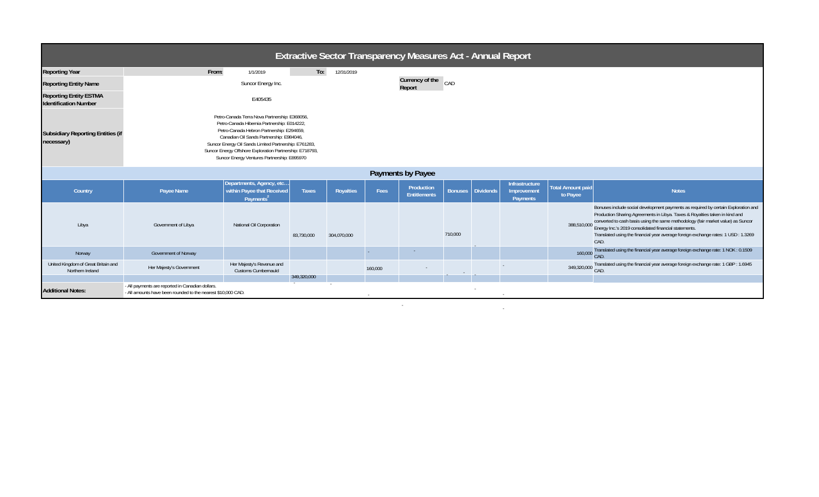| <b>Extractive Sector Transparency Measures Act - Annual Report</b> |                                                                                                                                                                                                                                                                                                                                                           |                                                                                 |              |                  |         |                                   |         |                   |                                           |                                      |                                                                                                                                                                                                                                                                                                                                                                                                              |
|--------------------------------------------------------------------|-----------------------------------------------------------------------------------------------------------------------------------------------------------------------------------------------------------------------------------------------------------------------------------------------------------------------------------------------------------|---------------------------------------------------------------------------------|--------------|------------------|---------|-----------------------------------|---------|-------------------|-------------------------------------------|--------------------------------------|--------------------------------------------------------------------------------------------------------------------------------------------------------------------------------------------------------------------------------------------------------------------------------------------------------------------------------------------------------------------------------------------------------------|
| <b>Reporting Year</b>                                              | From:                                                                                                                                                                                                                                                                                                                                                     | 1/1/2019                                                                        | To:          | 12/31/2019       |         |                                   |         |                   |                                           |                                      |                                                                                                                                                                                                                                                                                                                                                                                                              |
| <b>Reporting Entity Name</b>                                       |                                                                                                                                                                                                                                                                                                                                                           | Suncor Energy Inc.                                                              |              |                  |         | Currency of the CAD<br>Report     |         |                   |                                           |                                      |                                                                                                                                                                                                                                                                                                                                                                                                              |
| <b>Reporting Entity ESTMA</b><br><b>Identification Number</b>      |                                                                                                                                                                                                                                                                                                                                                           | E405435                                                                         |              |                  |         |                                   |         |                   |                                           |                                      |                                                                                                                                                                                                                                                                                                                                                                                                              |
| <b>Subsidiary Reporting Entities (if</b><br>necessary)             | Petro-Canada Terra Nova Partnership: E368056,<br>Petro-Canada Hibernia Partnership: E014222,<br>Petro-Canada Hebron Partnership: E294659,<br>Canadian Oil Sands Partnership: E984046,<br>Suncor Energy Oil Sands Limited Partnership: E761283,<br>Suncor Energy Offshore Exploration Partnership: E718793,<br>Suncor Energy Ventures Partnership: E895970 |                                                                                 |              |                  |         |                                   |         |                   |                                           |                                      |                                                                                                                                                                                                                                                                                                                                                                                                              |
| Payments by Payee                                                  |                                                                                                                                                                                                                                                                                                                                                           |                                                                                 |              |                  |         |                                   |         |                   |                                           |                                      |                                                                                                                                                                                                                                                                                                                                                                                                              |
| Country                                                            | Payee Name                                                                                                                                                                                                                                                                                                                                                | Departments, Agency, etc<br>within Payee that Received<br>Payments <sup>2</sup> | <b>Taxes</b> | <b>Royalties</b> | Fees    | Production<br><b>Entitlements</b> |         | Bonuses Dividends | Infrastructure<br>Improvement<br>Payments | <b>Total Amount paid</b><br>to Payee | <b>Notes</b>                                                                                                                                                                                                                                                                                                                                                                                                 |
| Libya                                                              | Government of Libya                                                                                                                                                                                                                                                                                                                                       | National Oil Corporation                                                        | 83,730,000   | 304,070,000      |         |                                   | 710,000 |                   |                                           | 388,510,000                          | Bonuses include social development payments as required by certain Exploration and<br>Production Sharing Agreements in Libya. Taxes & Royalties taken in kind and<br>converted to cash basis using the same methodology (fair market value) as Suncor<br>Energy Inc.'s 2019 consolidated financial statements.<br>Translated using the financial year average foreign exchange rates: 1 USD : 1.3269<br>CAD. |
| Norway                                                             | Government of Norway                                                                                                                                                                                                                                                                                                                                      |                                                                                 |              |                  |         |                                   |         |                   |                                           | 160,000                              | Translated using the financial year average foreign exchange rate: 1 NOK: 0.1509<br>CAD.                                                                                                                                                                                                                                                                                                                     |
| United Kingdom of Great Britain and<br>Northern Ireland            | Her Majesty's Government                                                                                                                                                                                                                                                                                                                                  | Her Majesty's Revenue and<br><b>Customs Cumbernauld</b>                         |              |                  | 160,000 |                                   |         |                   |                                           | 349,320,000                          | Translated using the financial year average foreign exchange rate: 1 GBP : 1.6945<br>CAD.                                                                                                                                                                                                                                                                                                                    |
| <b>Additional Notes:</b>                                           | - All payments are reported in Canadian dollars.<br>- All amounts have been rounded to the nearest \$10,000 CAD.                                                                                                                                                                                                                                          |                                                                                 | 349,320,000  |                  |         |                                   |         |                   |                                           |                                      |                                                                                                                                                                                                                                                                                                                                                                                                              |